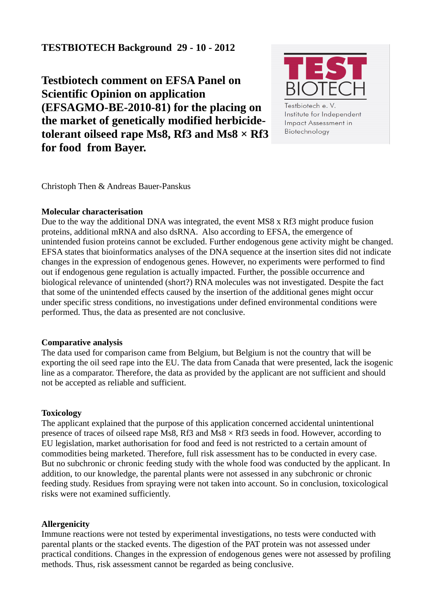# **TESTBIOTECH Background 29 - 10 - 2012**

**Testbiotech comment on EFSA Panel on Scientific Opinion on application (EFSAGMO-BE-2010-81) for the placing on the market of genetically modified herbicidetolerant oilseed rape Ms8, Rf3 and Ms8 × Rf3 for food from Bayer.** 



Biotechnology

Christoph Then & Andreas Bauer-Panskus

#### **Molecular characterisation**

Due to the way the additional DNA was integrated, the event MS8 x Rf3 might produce fusion proteins, additional mRNA and also dsRNA. Also according to EFSA, the emergence of unintended fusion proteins cannot be excluded. Further endogenous gene activity might be changed. EFSA states that bioinformatics analyses of the DNA sequence at the insertion sites did not indicate changes in the expression of endogenous genes. However, no experiments were performed to find out if endogenous gene regulation is actually impacted. Further, the possible occurrence and biological relevance of unintended (short?) RNA molecules was not investigated. Despite the fact that some of the unintended effects caused by the insertion of the additional genes might occur under specific stress conditions, no investigations under defined environmental conditions were performed. Thus, the data as presented are not conclusive.

# **Comparative analysis**

The data used for comparison came from Belgium, but Belgium is not the country that will be exporting the oil seed rape into the EU. The data from Canada that were presented, lack the isogenic line as a comparator. Therefore, the data as provided by the applicant are not sufficient and should not be accepted as reliable and sufficient.

# **Toxicology**

The applicant explained that the purpose of this application concerned accidental unintentional presence of traces of oilseed rape Ms8, Rf3 and Ms8 × Rf3 seeds in food. However, according to EU legislation, market authorisation for food and feed is not restricted to a certain amount of commodities being marketed. Therefore, full risk assessment has to be conducted in every case. But no subchronic or chronic feeding study with the whole food was conducted by the applicant. In addition, to our knowledge, the parental plants were not assessed in any subchronic or chronic feeding study. Residues from spraying were not taken into account. So in conclusion, toxicological risks were not examined sufficiently.

# **Allergenicity**

Immune reactions were not tested by experimental investigations, no tests were conducted with parental plants or the stacked events. The digestion of the PAT protein was not assessed under practical conditions. Changes in the expression of endogenous genes were not assessed by profiling methods. Thus, risk assessment cannot be regarded as being conclusive.